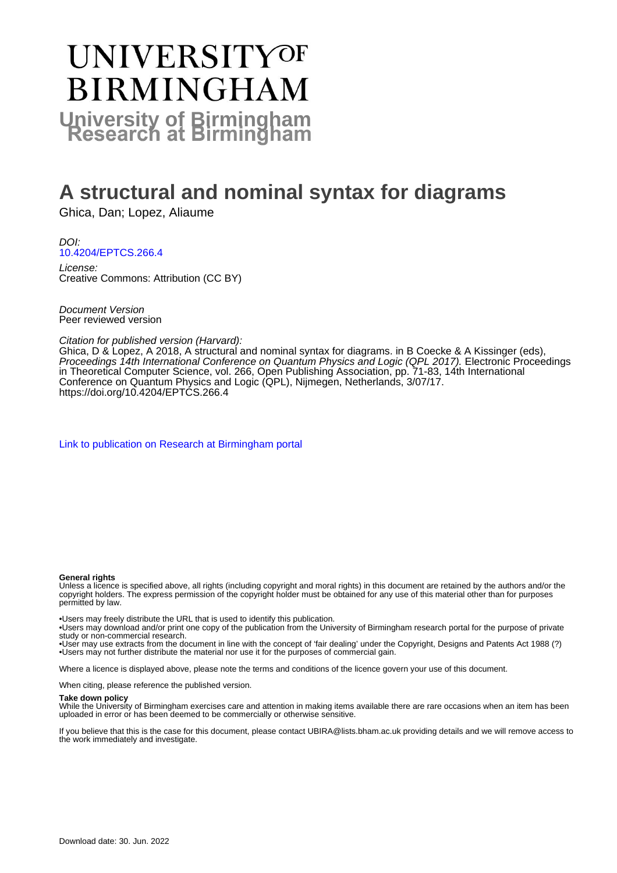# UNIVERSITYOF **BIRMINGHAM University of Birmingham**

# **A structural and nominal syntax for diagrams**

Ghica, Dan; Lopez, Aliaume

DOI: [10.4204/EPTCS.266.4](https://doi.org/10.4204/EPTCS.266.4)

License: Creative Commons: Attribution (CC BY)

Document Version Peer reviewed version

Citation for published version (Harvard):

Ghica, D & Lopez, A 2018, A structural and nominal syntax for diagrams. in B Coecke & A Kissinger (eds), Proceedings 14th International Conference on Quantum Physics and Logic (QPL 2017). Electronic Proceedings in Theoretical Computer Science, vol. 266, Open Publishing Association, pp. 71-83, 14th International Conference on Quantum Physics and Logic (QPL), Nijmegen, Netherlands, 3/07/17. <https://doi.org/10.4204/EPTCS.266.4>

[Link to publication on Research at Birmingham portal](https://birmingham.elsevierpure.com/en/publications/d3062098-5443-486a-83f3-2ce7fef98fe0)

#### **General rights**

Unless a licence is specified above, all rights (including copyright and moral rights) in this document are retained by the authors and/or the copyright holders. The express permission of the copyright holder must be obtained for any use of this material other than for purposes permitted by law.

• Users may freely distribute the URL that is used to identify this publication.

• Users may download and/or print one copy of the publication from the University of Birmingham research portal for the purpose of private study or non-commercial research.

• User may use extracts from the document in line with the concept of 'fair dealing' under the Copyright, Designs and Patents Act 1988 (?) • Users may not further distribute the material nor use it for the purposes of commercial gain.

Where a licence is displayed above, please note the terms and conditions of the licence govern your use of this document.

When citing, please reference the published version.

#### **Take down policy**

While the University of Birmingham exercises care and attention in making items available there are rare occasions when an item has been uploaded in error or has been deemed to be commercially or otherwise sensitive.

If you believe that this is the case for this document, please contact UBIRA@lists.bham.ac.uk providing details and we will remove access to the work immediately and investigate.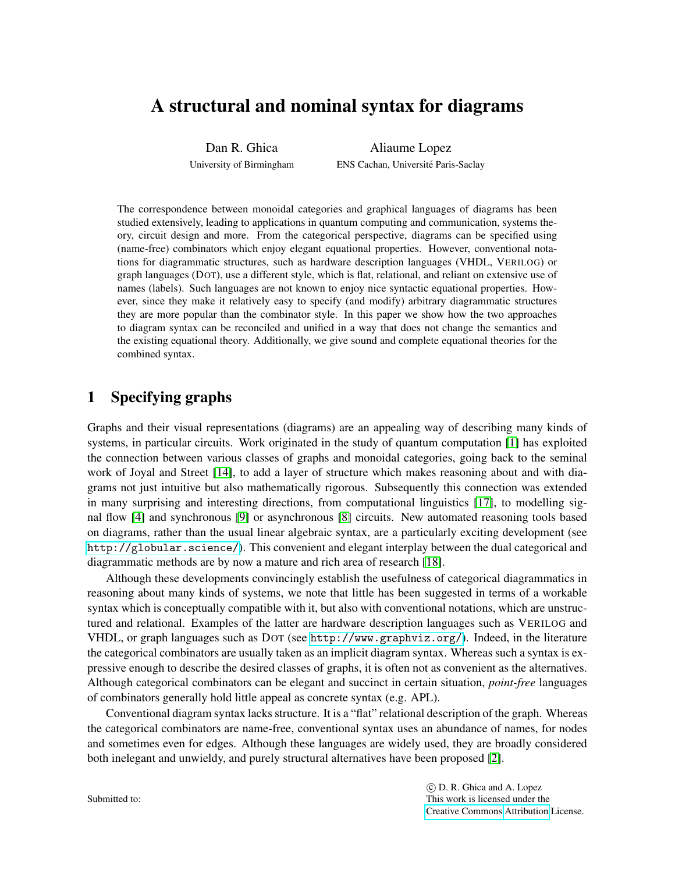## A structural and nominal syntax for diagrams

Dan R. Ghica University of Birmingham

Aliaume Lopez ENS Cachan, Université Paris-Saclay

The correspondence between monoidal categories and graphical languages of diagrams has been studied extensively, leading to applications in quantum computing and communication, systems theory, circuit design and more. From the categorical perspective, diagrams can be specified using (name-free) combinators which enjoy elegant equational properties. However, conventional notations for diagrammatic structures, such as hardware description languages (VHDL, VERILOG) or graph languages (DOT), use a different style, which is flat, relational, and reliant on extensive use of names (labels). Such languages are not known to enjoy nice syntactic equational properties. However, since they make it relatively easy to specify (and modify) arbitrary diagrammatic structures they are more popular than the combinator style. In this paper we show how the two approaches to diagram syntax can be reconciled and unified in a way that does not change the semantics and the existing equational theory. Additionally, we give sound and complete equational theories for the combined syntax.

## 1 Specifying graphs

Graphs and their visual representations (diagrams) are an appealing way of describing many kinds of systems, in particular circuits. Work originated in the study of quantum computation [\[1\]](#page-12-0) has exploited the connection between various classes of graphs and monoidal categories, going back to the seminal work of Joyal and Street [\[14\]](#page-13-0), to add a layer of structure which makes reasoning about and with diagrams not just intuitive but also mathematically rigorous. Subsequently this connection was extended in many surprising and interesting directions, from computational linguistics [\[17\]](#page-13-1), to modelling signal flow [\[4\]](#page-13-2) and synchronous [\[9\]](#page-13-3) or asynchronous [\[8\]](#page-13-4) circuits. New automated reasoning tools based on diagrams, rather than the usual linear algebraic syntax, are a particularly exciting development (see <http://globular.science/>). This convenient and elegant interplay between the dual categorical and diagrammatic methods are by now a mature and rich area of research [\[18\]](#page-13-5).

Although these developments convincingly establish the usefulness of categorical diagrammatics in reasoning about many kinds of systems, we note that little has been suggested in terms of a workable syntax which is conceptually compatible with it, but also with conventional notations, which are unstructured and relational. Examples of the latter are hardware description languages such as VERILOG and VHDL, or graph languages such as DOT (see <http://www.graphviz.org/>). Indeed, in the literature the categorical combinators are usually taken as an implicit diagram syntax. Whereas such a syntax is expressive enough to describe the desired classes of graphs, it is often not as convenient as the alternatives. Although categorical combinators can be elegant and succinct in certain situation, *point-free* languages of combinators generally hold little appeal as concrete syntax (e.g. APL).

Conventional diagram syntax lacks structure. It is a "flat" relational description of the graph. Whereas the categorical combinators are name-free, conventional syntax uses an abundance of names, for nodes and sometimes even for edges. Although these languages are widely used, they are broadly considered both inelegant and unwieldy, and purely structural alternatives have been proposed [\[2\]](#page-12-1).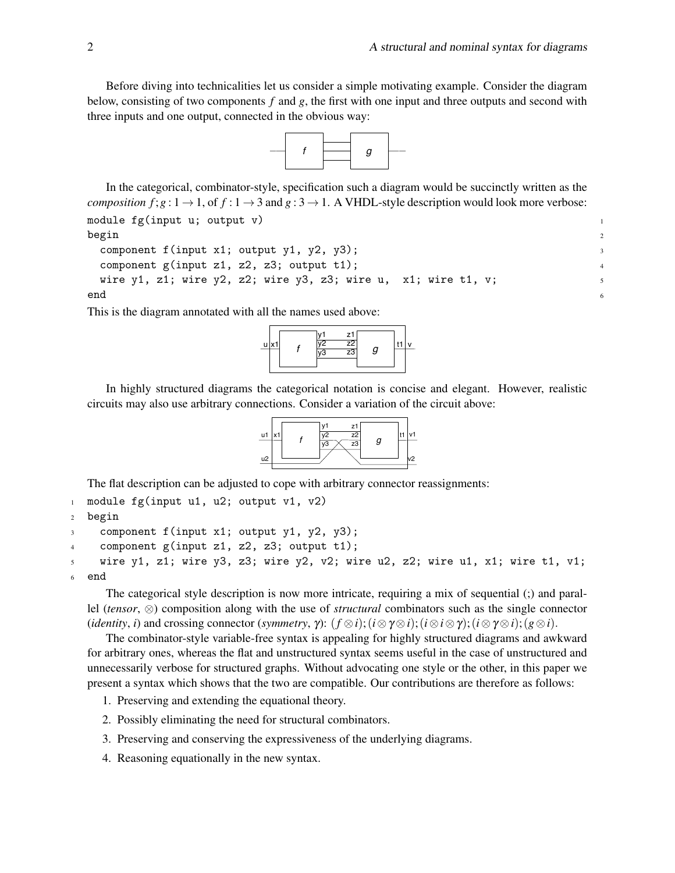Before diving into technicalities let us consider a simple motivating example. Consider the diagram below, consisting of two components *f* and *g*, the first with one input and three outputs and second with three inputs and one output, connected in the obvious way:



In the categorical, combinator-style, specification such a diagram would be succinctly written as the *composition f*;  $g: 1 \rightarrow 1$ , of  $f: 1 \rightarrow 3$  and  $g: 3 \rightarrow 1$ . A VHDL-style description would look more verbose: module  $fg(input u; output v)$ 

```
begin the contract of \frac{1}{2}
```

```
component f(input x1; output y1, y2, y3); 3
component g(input z1, z2, z3; output t1); \frac{4}{3}wire y1, z1; wire y2, z2; wire y3, z3; wire u, x1; wire t1, v;
end the contract of \sim
```
This is the diagram annotated with all the names used above:



In highly structured diagrams the categorical notation is concise and elegant. However, realistic circuits may also use arbitrary connections. Consider a variation of the circuit above:



The flat description can be adjusted to cope with arbitrary connector reassignments:

```
1 module fg(input u1, u2; output v1, v2)
2 begin
3 component f(input x1; output y1, y2, y3);
4 component g(input z1, z2, z3; output t1);
```

```
5 wire y1, z1; wire y3, z3; wire y2, v2; wire u2, z2; wire u1, x1; wire t1, v1;
6 end
```
The categorical style description is now more intricate, requiring a mix of sequential (;) and parallel (*tensor*, ⊗) composition along with the use of *structural* combinators such as the single connector (*identity*, *i*) and crossing connector (*symmetry*,  $\gamma$ ): ( $f \otimes i$ );( $i \otimes \gamma \otimes i$ );( $i \otimes \gamma \otimes i$ );( $g \otimes i$ ).

The combinator-style variable-free syntax is appealing for highly structured diagrams and awkward for arbitrary ones, whereas the flat and unstructured syntax seems useful in the case of unstructured and unnecessarily verbose for structured graphs. Without advocating one style or the other, in this paper we present a syntax which shows that the two are compatible. Our contributions are therefore as follows:

1. Preserving and extending the equational theory.

- 2. Possibly eliminating the need for structural combinators.
- 3. Preserving and conserving the expressiveness of the underlying diagrams.
- 4. Reasoning equationally in the new syntax.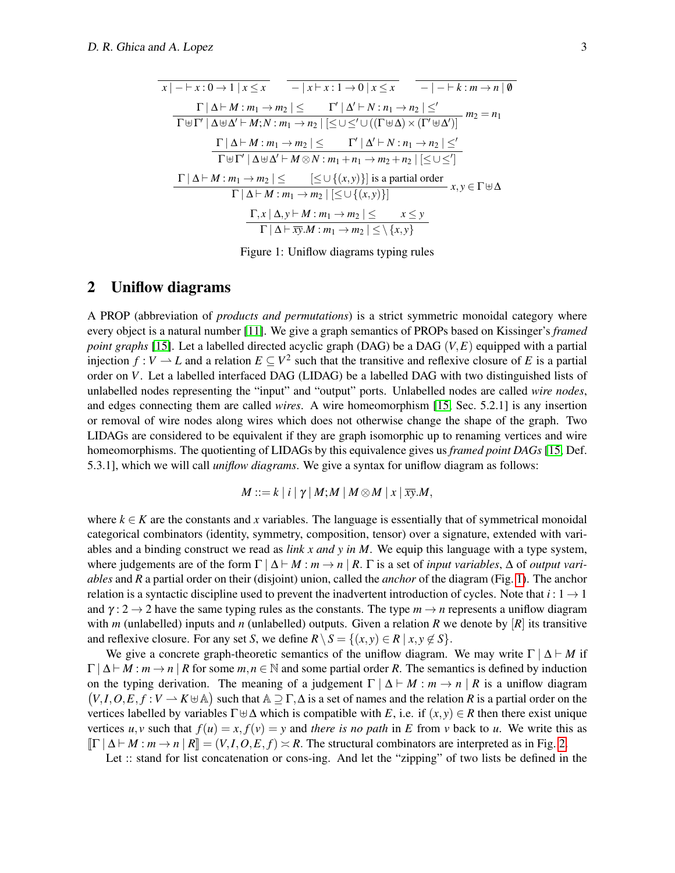$$
\begin{array}{c|c|c|c|c|c|c} \hline x & -|x+y:0 \rightarrow 1 \mid x \leq x & -|x+y:1 \rightarrow 0 \mid x \leq x & -|-k \mid x \rightarrow n \mid \emptyset \\ \hline \hline \Gamma \cup \Delta \vdash M : m_1 \rightarrow m_2 \mid \leq & \Gamma' \mid \Delta' \vdash N : n_1 \rightarrow n_2 \mid \leq' \\ \hline \hline \Gamma \uplus \Gamma' \mid \Delta \uplus \Delta' \vdash M; N : m_1 \rightarrow n_2 \mid \leq \cup \leq' \cup ((\Gamma \uplus \Delta) \times (\Gamma' \uplus \Delta')) & m_2 = n_1 \\ \hline \hline \Gamma \mid \Delta \vdash M : m_1 \rightarrow m_2 \mid \leq & \Gamma' \mid \Delta' \vdash N : n_1 \rightarrow n_2 \mid \leq' \\ \hline \hline \Gamma \uplus \Gamma' \mid \Delta \uplus \Delta' \vdash M \otimes N : m_1 + n_1 \rightarrow m_2 + n_2 \mid \leq \cup \leq' ] \\ \hline \Gamma \mid \Delta \vdash M : m_1 \rightarrow m_2 \mid \leq & [\leq \cup \{(x, y)\}] \text{ is a partial order} \\ \hline \Gamma \mid \Delta \vdash M : m_1 \rightarrow m_2 \mid \leq \cup \{(x, y)\} ] & & \Gamma, x \mid \Delta, y \vdash M : m_1 \rightarrow m_2 \mid \leq & x \leq y \\ \hline \Gamma \mid \Delta \vdash \overline{xy}.M : m_1 \rightarrow m_2 \mid \leq \setminus \{x, y\} \end{array}
$$

<span id="page-3-0"></span>Figure 1: Uniflow diagrams typing rules

#### 2 Uniflow diagrams

A PROP (abbreviation of *products and permutations*) is a strict symmetric monoidal category where every object is a natural number [\[11\]](#page-13-6). We give a graph semantics of PROPs based on Kissinger's *framed point graphs* [\[15\]](#page-13-7). Let a labelled directed acyclic graph (DAG) be a DAG (*V*,*E*) equipped with a partial injection  $f: V \to L$  and a relation  $E \subseteq V^2$  such that the transitive and reflexive closure of E is a partial order on *V*. Let a labelled interfaced DAG (LIDAG) be a labelled DAG with two distinguished lists of unlabelled nodes representing the "input" and "output" ports. Unlabelled nodes are called *wire nodes*, and edges connecting them are called *wires*. A wire homeomorphism [\[15,](#page-13-7) Sec. 5.2.1] is any insertion or removal of wire nodes along wires which does not otherwise change the shape of the graph. Two LIDAGs are considered to be equivalent if they are graph isomorphic up to renaming vertices and wire homeomorphisms. The quotienting of LIDAGs by this equivalence gives us *framed point DAGs* [\[15,](#page-13-7) Def. 5.3.1], which we will call *uniflow diagrams*. We give a syntax for uniflow diagram as follows:

$$
M ::= k | i | \gamma | M; M | M \otimes M | x | \overline{xy}.M,
$$

where  $k \in K$  are the constants and x variables. The language is essentially that of symmetrical monoidal categorical combinators (identity, symmetry, composition, tensor) over a signature, extended with variables and a binding construct we read as *link x and y in M*. We equip this language with a type system, where judgements are of the form  $\Gamma | \Delta \vdash M : m \rightarrow n | R$ .  $\Gamma$  is a set of *input variables*,  $\Delta$  of *output variables* and *R* a partial order on their (disjoint) union, called the *anchor* of the diagram (Fig. [1\)](#page-3-0). The anchor relation is a syntactic discipline used to prevent the inadvertent introduction of cycles. Note that  $i: 1 \rightarrow 1$ and  $\gamma$ : 2  $\rightarrow$  2 have the same typing rules as the constants. The type  $m \rightarrow n$  represents a uniflow diagram with *m* (unlabelled) inputs and *n* (unlabelled) outputs. Given a relation *R* we denote by  $[R]$  its transitive and reflexive closure. For any set *S*, we define  $R \setminus S = \{(x, y) \in R \mid x, y \notin S\}$ .

We give a concrete graph-theoretic semantics of the uniflow diagram. We may write  $\Gamma | \Delta \vdash M$  if  $\Gamma | \Delta \vdash M : m \rightarrow n | R$  for some  $m, n \in \mathbb{N}$  and some partial order R. The semantics is defined by induction on the typing derivation. The meaning of a judgement  $\Gamma | \Delta \vdash M : m \rightarrow n | R$  is a uniflow diagram  $(V, I, O, E, f : V \to K \cup \mathbb{A})$  such that  $\mathbb{A} \supseteq \Gamma, \Delta$  is a set of names and the relation *R* is a partial order on the vertices labelled by variables  $\Gamma \oplus \Delta$  which is compatible with *E*, i.e. if  $(x, y) \in R$  then there exist unique vertices  $u, v$  such that  $f(u) = x, f(v) = y$  and *there is no path* in *E* from *v* back to *u*. We write this as  $\left[\Gamma \mid \Delta \vdash M : m \to n \mid R\right] = (V, I, O, E, f) \asymp R$ . The structural combinators are interpreted as in Fig. [2.](#page-4-0)

Let :: stand for list concatenation or cons-ing. And let the "zipping" of two lists be defined in the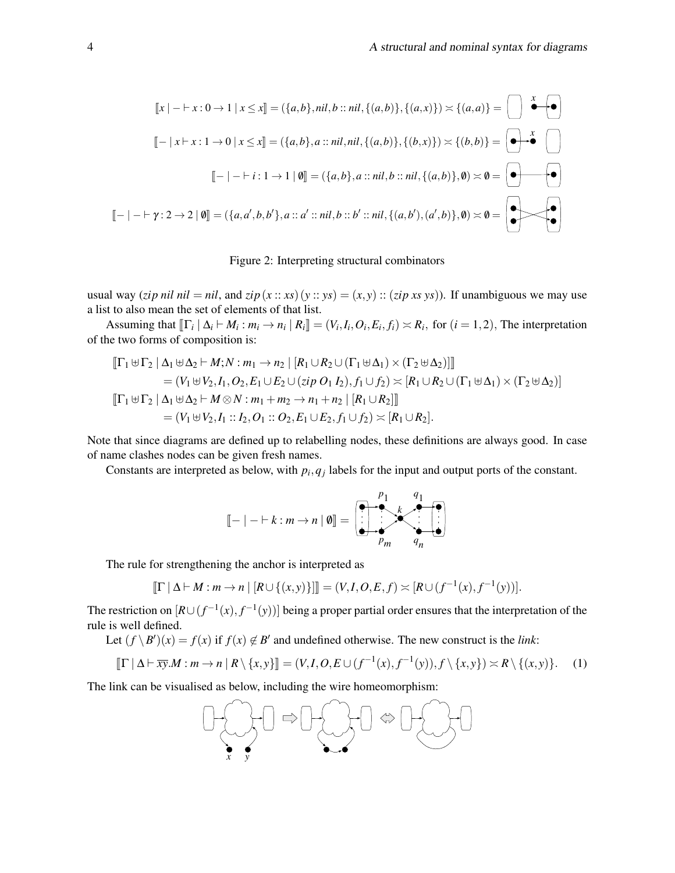$$
[[x] - \vdash x : 0 \to 1 \mid x \le x] = (\{a, b\}, nil, b :: nil, \{(a, b)\}, \{(a, x)\}) \times \{(a, a)\} = \bigcup_{a \in A} \bigotimes_{a \in A} \bigotimes_{a \in A} [\{a, b\}, a :: nil, nil, \{(a, b)\}, \{(b, x)\}) \times \{(b, b)\} = \bigotimes_{a \in A} \bigotimes_{a \in A} [\{a, b\}, a :: nil, val, \{(a, b)\}, 0) \times \emptyset = \bigotimes_{a \in A} [\{a, b\}, a :: nil, b :: nil, \{(a, b)\}, 0) \times \emptyset = \bigotimes_{a \in A} [\{a, b\}, a :: all, b :: bl : nil, \{(a, b'), (a', b)\}, 0) \times \emptyset = \bigotimes_{a \in A} [\{a, b\}, a :: ml, b :: bl : nil, \{(a, b'), (a', b)\}, 0) \times \emptyset = \bigotimes_{a \in A} [\{a, b\}, a :: ml, b :: bl : nil, \{(a, b'), (a', b)\}, 0) \times \emptyset = \bigotimes_{a \in A} [\{a, b\}, a :: ml, b :: bl : nil, \{(a, b'), (a', b)\}, 0) \times \emptyset = \bigotimes_{a \in A} [\{a, b\}, a :: ml, b :: bl : nil, \{(a, b'), (a', b)\}, 0) \times \emptyset = \bigotimes_{a \in A} [\{a, b\}, a :: ml, b :: bl : nil, \{(a, b'), (a', b)\}, 0) \times \emptyset = \bigotimes_{a \in A} [\{a, b\}, a :: ml, b :: bl : nil, \{(a, b'), (a', b')\}, 0) \times \emptyset = \bigotimes_{a \in A} [\{a, b\}, a :: ml, b :: bl : ml, \{(a, b'), (a', b')\}, 0) \times \emptyset = \bigotimes_{a \in A} [\{a, b\}, a :: ml, b :: bl : ml, \{(a, b'), (a', b')\}, 0) \times \emptyset = \bigotimes_{a \in A} [\{a, b\}, a :: ml, b :: bl : ml, \{(a, b'), (a', b')\}, 0) \times \emptyset = \bigotimes_{a \in A} [\{a, b\}, a :: ml, b :: bl : ml, \{(a, b'), (a', b')\}, 0) \times \emptyset = \bigotimes_{a \in A}
$$

#### <span id="page-4-0"></span>Figure 2: Interpreting structural combinators

usual way (*zip nil nil* = *nil*, and *zip*( $x:: xs$ ) ( $y:: ys$ ) = ( $x, y$ ) :: (*zip xs ys*)). If unambiguous we may use a list to also mean the set of elements of that list.

Assuming that  $[\![\Gamma_i \mid \Delta_i \vdash M_i : m_i \rightarrow n_i \mid R_i]\!] = (V_i, I_i, O_i, E_i, f_i) \asymp R_i$ , for  $(i = 1, 2)$ , The interpretation of the two forms of composition is:

$$
\begin{aligned}\n\left[\Gamma_1 \boxplus \Gamma_2 \mid \Delta_1 \boxplus \Delta_2 \vdash M; N : m_1 \to n_2 \mid [R_1 \cup R_2 \cup (\Gamma_1 \boxplus \Delta_1) \times (\Gamma_2 \boxplus \Delta_2)]\right] \\
&= (V_1 \boxplus V_2, I_1, O_2, E_1 \cup E_2 \cup (zip O_1 I_2), f_1 \cup f_2) \asymp [R_1 \cup R_2 \cup (\Gamma_1 \boxplus \Delta_1) \times (\Gamma_2 \boxplus \Delta_2)] \\
\left[\Gamma_1 \boxplus \Gamma_2 \mid \Delta_1 \boxplus \Delta_2 \vdash M \otimes N : m_1 + m_2 \to n_1 + n_2 \mid [R_1 \cup R_2]\right] \\
&= (V_1 \boxplus V_2, I_1 :: I_2, O_1 :: O_2, E_1 \cup E_2, f_1 \cup f_2) \asymp [R_1 \cup R_2].\n\end{aligned}
$$

Note that since diagrams are defined up to relabelling nodes, these definitions are always good. In case of name clashes nodes can be given fresh names.

Constants are interpreted as below, with  $p_i, q_j$  labels for the input and output ports of the constant.

<span id="page-4-1"></span>
$$
\llbracket - \mid - \mid k : m \rightarrow n \mid \emptyset \rrbracket = \left( \begin{array}{ccc} p_1 & q_1 \\ \hline \vdots & \ddots & \vdots \\ p_m & q_n \end{array} \right)
$$

The rule for strengthening the anchor is interpreted as

$$
[\![\Gamma \,|\, \Delta \vdash M : m \to n \,|\, [R \cup \{(x,y)\}]] = (V,I,O,E,f) \asymp [R \cup (f^{-1}(x),f^{-1}(y))].
$$

The restriction on  $[R \cup (f^{-1}(x), f^{-1}(y))]$  being a proper partial order ensures that the interpretation of the rule is well defined.

Let  $(f \setminus B')(x) = f(x)$  if  $f(x) \notin B'$  and undefined otherwise. The new construct is the *link*:

$$
\llbracket \Gamma \mid \Delta \vdash \overline{xy}.M : m \to n \mid R \setminus \{x, y\} \rrbracket = (V, I, O, E \cup (f^{-1}(x), f^{-1}(y)), f \setminus \{x, y\}) \asymp R \setminus \{(x, y)\}.
$$
 (1)

The link can be visualised as below, including the wire homeomorphism:

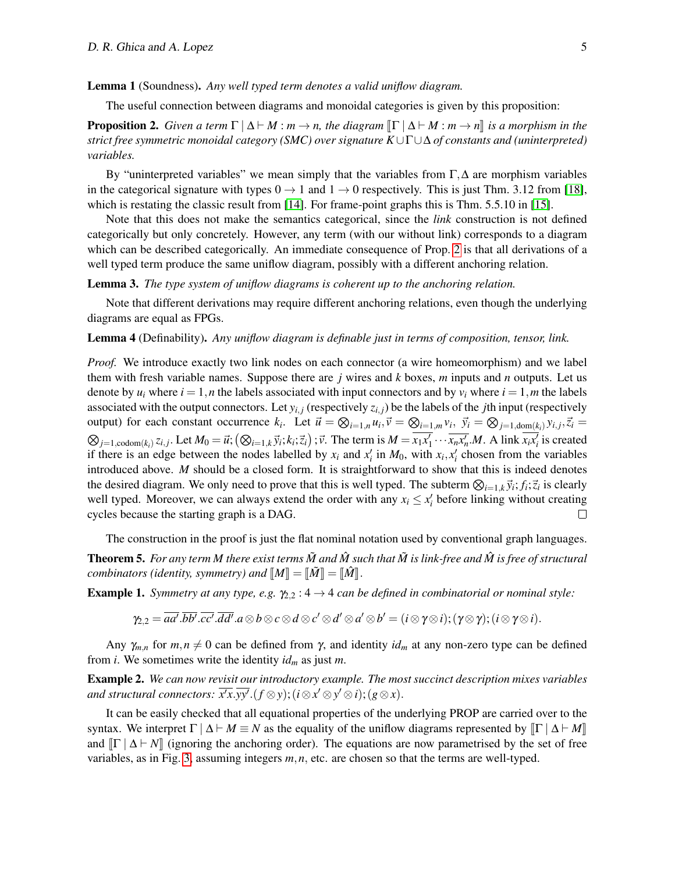Lemma 1 (Soundness). *Any well typed term denotes a valid uniflow diagram.*

The useful connection between diagrams and monoidal categories is given by this proposition:

<span id="page-5-0"></span>**Proposition 2.** *Given a term*  $\Gamma \mid \Delta \vdash M : m \rightarrow n$ , the diagram  $\lVert \Gamma \mid \Delta \vdash M : m \rightarrow n \rVert$  is a morphism in the *strict free symmetric monoidal category (SMC) over signature K*∪Γ∪∆ *of constants and (uninterpreted) variables.*

By "uninterpreted variables" we mean simply that the variables from  $\Gamma$ ,  $\Delta$  are morphism variables in the categorical signature with types  $0 \rightarrow 1$  and  $1 \rightarrow 0$  respectively. This is just Thm. 3.12 from [\[18\]](#page-13-5), which is restating the classic result from [\[14\]](#page-13-0). For frame-point graphs this is Thm. 5.5.10 in [\[15\]](#page-13-7).

Note that this does not make the semantics categorical, since the *link* construction is not defined categorically but only concretely. However, any term (with our without link) corresponds to a diagram which can be described categorically. An immediate consequence of Prop. [2](#page-5-0) is that all derivations of a well typed term produce the same uniflow diagram, possibly with a different anchoring relation.

Lemma 3. *The type system of uniflow diagrams is coherent up to the anchoring relation.*

Note that different derivations may require different anchoring relations, even though the underlying diagrams are equal as FPGs.

<span id="page-5-1"></span>Lemma 4 (Definability). *Any uniflow diagram is definable just in terms of composition, tensor, link.*

*Proof.* We introduce exactly two link nodes on each connector (a wire homeomorphism) and we label them with fresh variable names. Suppose there are *j* wires and *k* boxes, *m* inputs and *n* outputs. Let us denote by  $u_i$  where  $i = 1, n$  the labels associated with input connectors and by  $v_i$  where  $i = 1, m$  the labels associated with the output connectors. Let  $y_{i,j}$  (respectively  $z_{i,j}$ ) be the labels of the *j*th input (respectively output) for each constant occurrence  $k_i$ . Let  $\vec{u} = \bigotimes_{i=1,n} u_i$ ,  $\vec{v} = \bigotimes_{i=1,m} v_i$ ,  $\vec{y}_i = \bigotimes_{j=1,\text{dom}(k_i)} y_{i,j}$ ,  $\vec{z}_i =$  $\otimes_{j=1,\text{codom}(k_i)} z_{i,j}$ . Let  $M_0 = \vec{u}$ ;  $(\otimes_{i=1,k} \vec{y}_i; k_i; \vec{z}_i)$ ;  $\vec{v}$ . The term is  $M = \overline{x_1x_1'} \cdots \overline{x_nx_n'}$ . A link  $\overline{x_ix_i'}$  is created if there is an edge between the nodes labelled by  $x_i$  and  $x'_i$  in  $M_0$ , with  $x_i, x'_i$  chosen from the variables introduced above. *M* should be a closed form. It is straightforward to show that this is indeed denotes the desired diagram. We only need to prove that this is well typed. The subterm  $\otimes_{i=1,k} \vec{y}_i; f_i; \vec{z}_i$  is clearly well typed. Moreover, we can always extend the order with any  $x_i \leq x_i'$  before linking without creating cycles because the starting graph is a DAG.  $\Box$ 

The construction in the proof is just the flat nominal notation used by conventional graph languages. **Theorem 5.** For any term M there exist terms  $\tilde{M}$  and  $\hat{M}$  such that  $\tilde{M}$  is link-free and  $\hat{M}$  is free of structural *combinators (identity, symmetry) and*  $\llbracket M \rrbracket = \llbracket \tilde{M} \rrbracket = \llbracket \hat{M} \rrbracket$ .

**Example 1.** *Symmetry at any type, e.g.*  $\gamma_{2,2}: 4 \rightarrow 4$  *can be defined in combinatorial or nominal style:* 

$$
\gamma_{2,2} = \overline{aa'}. \overline{bb'}. \overline{cc'}. \overline{dd'}. a \otimes b \otimes c \otimes d \otimes c' \otimes d' \otimes a' \otimes b' = (i \otimes \gamma \otimes i); (\gamma \otimes \gamma); (i \otimes \gamma \otimes i).
$$

Any  $\gamma_{m,n}$  for  $m,n \neq 0$  can be defined from  $\gamma$ , and identity  $id_m$  at any non-zero type can be defined from *i*. We sometimes write the identity *id<sup>m</sup>* as just *m*.

Example 2. *We can now revisit our introductory example. The most succinct description mixes variables* and structural connectors:  $\overline{x'x}.\overline{yy'}.(f \otimes y);(i \otimes x' \otimes y' \otimes i);(g \otimes x).$ 

It can be easily checked that all equational properties of the underlying PROP are carried over to the syntax. We interpret  $\Gamma | \Delta \vdash M \equiv N$  as the equality of the uniflow diagrams represented by  $\lVert \Gamma | \Delta \vdash M \rVert$ and  $\|\Gamma \mid \Delta \vdash N\|$  (ignoring the anchoring order). The equations are now parametrised by the set of free variables, as in Fig. [3,](#page-6-0) assuming integers *m*,*n*, etc. are chosen so that the terms are well-typed.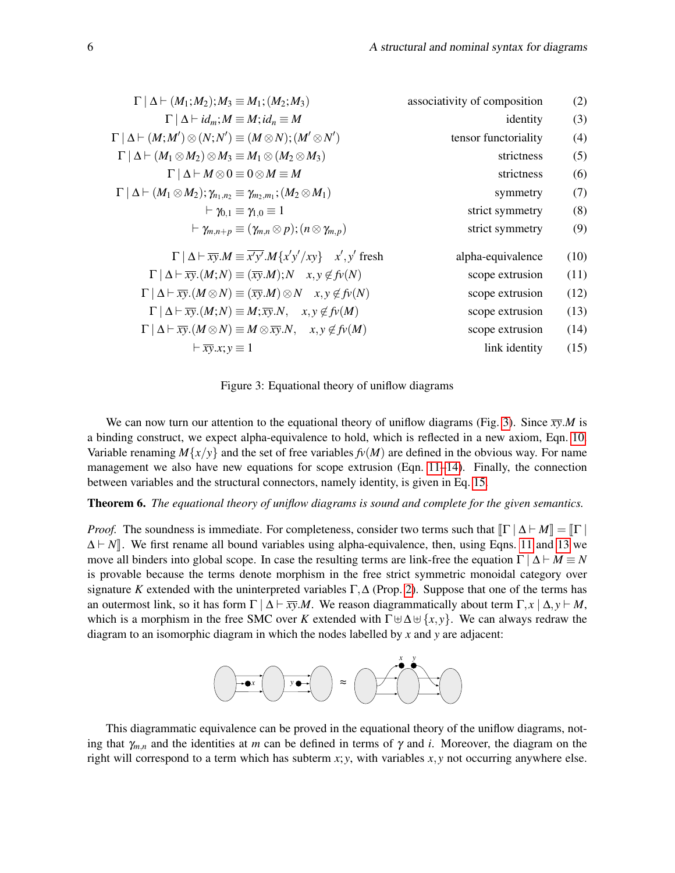| $\Gamma   \Delta \vdash (M_1; M_2); M_3 \equiv M_1; (M_2; M_3)$                                                  | associativity of composition | (2)  |
|------------------------------------------------------------------------------------------------------------------|------------------------------|------|
| $\Gamma   \Delta \vdash id_m; M \equiv M; id_n \equiv M$                                                         | identity                     | (3)  |
| $\Gamma   \Delta \vdash (M;M') \otimes (N;N') \equiv (M \otimes N); (M' \otimes N')$                             | tensor functoriality         | (4)  |
| $\Gamma   \Delta \vdash (M_1 \otimes M_2) \otimes M_3 \equiv M_1 \otimes (M_2 \otimes M_3)$                      | strictness                   | (5)  |
| $\Gamma   \Delta   M \otimes 0 \equiv 0 \otimes M \equiv M$                                                      | strictness                   | (6)  |
| $\Gamma   \Delta \vdash (M_1 \otimes M_2); \gamma_{n_1,n_2} \equiv \gamma_{m_2,m_1}; (M_2 \otimes M_1)$          | symmetry                     | (7)  |
| $\vdash \gamma_{0.1} \equiv \gamma_{1.0} \equiv 1$                                                               | strict symmetry              | (8)  |
| $\vdash \gamma_{m,n+p} \equiv (\gamma_{m,n} \otimes p); (n \otimes \gamma_{m,p})$                                | strict symmetry              | (9)  |
| $\Gamma   \Delta \vdash \overline{xy}.M \equiv \overline{x'y'}.M\{x'y'/xy\}$ $x', y'$ fresh                      | alpha-equivalence            | (10) |
| $\Gamma   \Delta \vdash \overline{xy}.(M;N) \equiv (\overline{xy}.M); N \quad x, y \notin f_V(N)$                | scope extrusion              | (11) |
| $\Gamma   \Delta \vdash \overline{xy}.(M \otimes N) \equiv (\overline{xy}.M) \otimes N \quad x, y \notin f_V(N)$ | scope extrusion              | (12) |
| $\Gamma   \Delta \vdash \overline{xy}.(M;N) \equiv M; \overline{xy}.N, \quad x, y \notin f\nu(M)$                | scope extrusion              | (13) |
| $\Gamma   \Delta \vdash \overline{xy}.(M \otimes N) \equiv M \otimes \overline{xy}.N, \quad x, y \notin f_V(M)$  | scope extrusion              | (14) |
| $\vdash \overline{xy}.x; y \equiv 1$                                                                             | link identity                | (15) |
|                                                                                                                  |                              |      |

<span id="page-6-5"></span><span id="page-6-4"></span><span id="page-6-3"></span><span id="page-6-2"></span><span id="page-6-1"></span><span id="page-6-0"></span>Figure 3: Equational theory of uniflow diagrams

We can now turn our attention to the equational theory of uniflow diagrams (Fig. [3\)](#page-6-0). Since  $\overline{xy}.M$  is a binding construct, we expect alpha-equivalence to hold, which is reflected in a new axiom, Eqn. [10.](#page-6-1) Variable renaming  $M\{x/y\}$  and the set of free variables  $f\nu(M)$  are defined in the obvious way. For name management we also have new equations for scope extrusion (Eqn.  $11-14$ ). Finally, the connection between variables and the structural connectors, namely identity, is given in Eq. [15.](#page-6-4)

Theorem 6. *The equational theory of uniflow diagrams is sound and complete for the given semantics.*

*Proof.* The soundness is immediate. For completeness, consider two terms such that  $\|\Gamma \mid \Delta \vdash M\| = \|\Gamma\|$  $\Delta \vdash N$ . We first rename all bound variables using alpha-equivalence, then, using Eqns. [11](#page-6-2) and [13](#page-6-5) we move all binders into global scope. In case the resulting terms are link-free the equation  $\Gamma | \Delta \vdash M \equiv N$ is provable because the terms denote morphism in the free strict symmetric monoidal category over signature *K* extended with the uninterpreted variables  $\Gamma$ ,  $\Delta$  (Prop. [2\)](#page-5-0). Suppose that one of the terms has an outermost link, so it has form  $\Gamma | \Delta \vdash \overline{xy}.M$ . We reason diagrammatically about term  $\Gamma, x | \Delta, y \vdash M$ , which is a morphism in the free SMC over *K* extended with  $\Gamma \boxplus \Delta \boxplus \{x, y\}$ . We can always redraw the diagram to an isomorphic diagram in which the nodes labelled by *x* and *y* are adjacent:



This diagrammatic equivalence can be proved in the equational theory of the uniflow diagrams, noting that  $\gamma_{m,n}$  and the identities at *m* can be defined in terms of  $\gamma$  and *i*. Moreover, the diagram on the right will correspond to a term which has subterm  $x$ ;  $y$ , with variables  $x$ ,  $y$  not occurring anywhere else.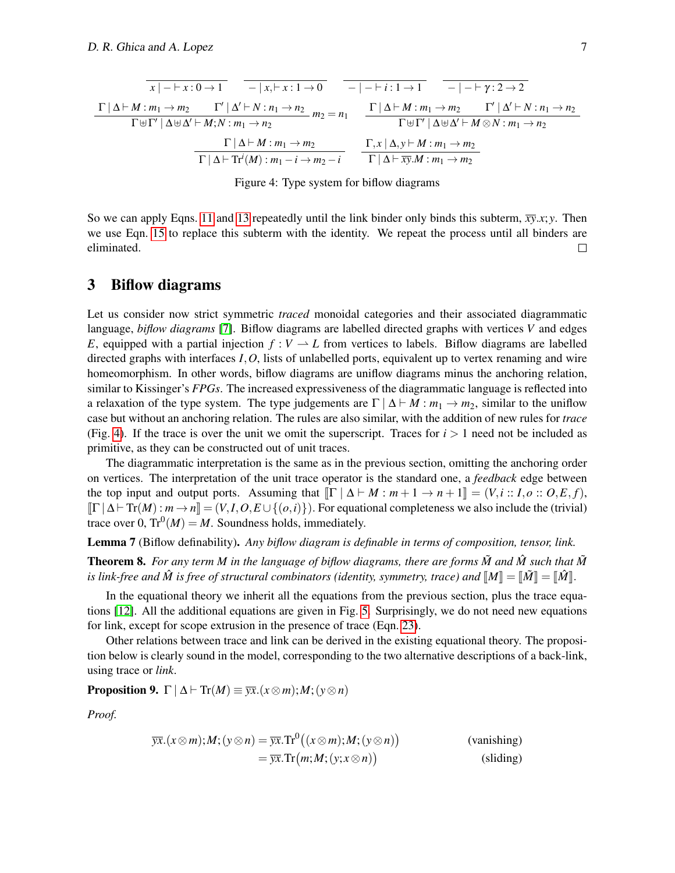$$
\frac{\Gamma|\Delta \vdash M : m_1 \to m_2 \qquad \Gamma'|\Delta' \vdash N : n_1 \to n_2}{\Gamma|\Delta \vdash M : m_1 \to m_2 \qquad \Gamma'|\Delta' \vdash N : n_1 \to n_2} m_2 = n_1 \qquad \frac{\Gamma|\Delta \vdash M : m_1 \to m_2 \qquad \Gamma'|\Delta' \vdash N : n_1 \to n_2}{\Gamma \uplus \Gamma'|\Delta \uplus \Delta' \vdash M; N : m_1 \to n_2} m_2 = n_1 \qquad \frac{\Gamma|\Delta \vdash M : m_1 \to m_2 \qquad \Gamma'|\Delta' \vdash N : n_1 \to n_2}{\Gamma \uplus \Gamma'|\Delta \uplus \Delta' \vdash M \otimes N : m_1 \to n_2}
$$
\n
$$
\frac{\Gamma|\Delta \vdash M : m_1 \to m_2}{\Gamma|\Delta \vdash \text{Tr}^i(M) : m_1 \to m_2 \to i} \qquad \frac{\Gamma, x \mid \Delta, y \vdash M : m_1 \to m_2}{\Gamma|\Delta \vdash \text{Tr}^i(M : m_1 \to m_2)}
$$

<span id="page-7-0"></span>Figure 4: Type system for biflow diagrams

So we can apply Eqns. [11](#page-6-2) and [13](#page-6-5) repeatedly until the link binder only binds this subterm,  $\overline{xy}.x; y$ . Then we use Eqn. [15](#page-6-4) to replace this subterm with the identity. We repeat the process until all binders are eliminated.  $\Box$ 

#### 3 Biflow diagrams

Let us consider now strict symmetric *traced* monoidal categories and their associated diagrammatic language, *biflow diagrams* [\[7\]](#page-13-8). Biflow diagrams are labelled directed graphs with vertices *V* and edges *E*, equipped with a partial injection  $f: V \to L$  from vertices to labels. Biflow diagrams are labelled directed graphs with interfaces *I*,*O*, lists of unlabelled ports, equivalent up to vertex renaming and wire homeomorphism. In other words, biflow diagrams are uniflow diagrams minus the anchoring relation, similar to Kissinger's *FPGs*. The increased expressiveness of the diagrammatic language is reflected into a relaxation of the type system. The type judgements are  $\Gamma \mid \Delta \vdash M : m_1 \rightarrow m_2$ , similar to the uniflow case but without an anchoring relation. The rules are also similar, with the addition of new rules for *trace* (Fig. [4\)](#page-7-0). If the trace is over the unit we omit the superscript. Traces for  $i > 1$  need not be included as primitive, as they can be constructed out of unit traces.

The diagrammatic interpretation is the same as in the previous section, omitting the anchoring order on vertices. The interpretation of the unit trace operator is the standard one, a *feedback* edge between the top input and output ports. Assuming that  $\llbracket \Gamma \mid \Delta \vdash M : m + 1 \to n + 1 \rrbracket = (V, i : I, o : O, E, f)$ ,  $\left[\Gamma \mid \Delta \vdash \mathrm{Tr}(M) : m \to n\right] = (V, I, O, E \cup \{(o, i)\})$ . For equational completeness we also include the (trivial) trace over 0,  $\text{Tr}^0(M) = M$ . Soundness holds, immediately.

Lemma 7 (Biflow definability). *Any biflow diagram is definable in terms of composition, tensor, link.*

**Theorem 8.** For any term M in the language of biflow diagrams, there are forms  $\tilde{M}$  and  $\tilde{M}$  such that  $\tilde{M}$ *is link-free and*  $\hat{M}$  *is free of structural combinators (identity, symmetry, trace) and*  $\llbracket M \rrbracket = \llbracket \hat{M} \rrbracket = \llbracket \hat{M} \rrbracket$ .

In the equational theory we inherit all the equations from the previous section, plus the trace equations [\[12\]](#page-13-9). All the additional equations are given in Fig. [5.](#page-8-0) Surprisingly, we do not need new equations for link, except for scope extrusion in the presence of trace (Eqn. [23\)](#page-8-1).

Other relations between trace and link can be derived in the existing equational theory. The proposition below is clearly sound in the model, corresponding to the two alternative descriptions of a back-link, using trace or *link*.

**Proposition 9.**  $\Gamma | \Delta \vdash \text{Tr}(M) \equiv \overline{\mathbf{y}x}.(x \otimes m); M; (y \otimes n)$ 

*Proof.*

$$
\overline{yx}.(x \otimes m);M; (y \otimes n) = \overline{yx}. \text{Tr}^{0}((x \otimes m);M; (y \otimes n))
$$
\n
$$
= \overline{yx}. \text{Tr}(m;M; (y; x \otimes n))
$$
\n(sliding)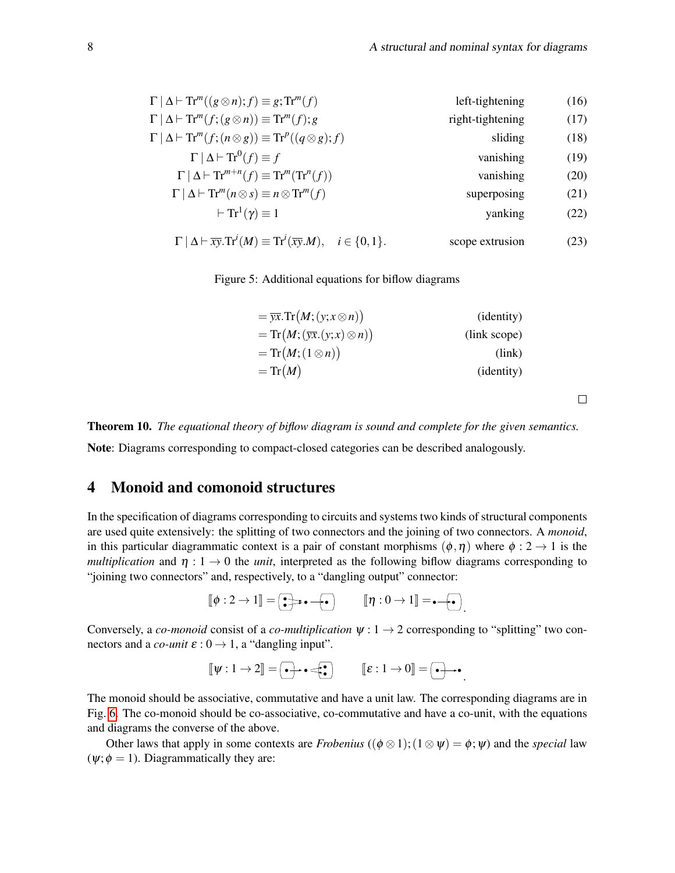| $\Gamma   \Delta \vdash \text{Tr}^m((g \otimes n); f) \equiv g; \text{Tr}^m(f)$                                  | left-tightening  | (16) |
|------------------------------------------------------------------------------------------------------------------|------------------|------|
| $\Gamma   \Delta \vdash \text{Tr}^m(f; (g \otimes n)) \equiv \text{Tr}^m(f); g$                                  | right-tightening | (17) |
| $\Gamma   \Delta \vdash \text{Tr}^m(f; (n \otimes g)) \equiv \text{Tr}^p((q \otimes g); f)$                      | sliding          | (18) |
| $\Gamma   \Delta  $ $\text{Tr}^{0}(f) \equiv f$                                                                  | vanishing        | (19) |
| $\Gamma   \Delta \vdash \mathrm{Tr}^{m+n}(f) \equiv \mathrm{Tr}^{m}(\mathrm{Tr}^{n}(f))$                         | vanishing        | (20) |
| $\Gamma   \Delta \vdash \text{Tr}^m(n \otimes s) \equiv n \otimes \text{Tr}^m(f)$                                | superposing      | (21) |
| $\vdash$ Tr <sup>1</sup> $(\gamma) \equiv 1$                                                                     | yanking          | (22) |
| $\Gamma   \Delta \vdash \overline{xy}. \text{Tr}^i(M) \equiv \text{Tr}^i(\overline{xy}.M), \quad i \in \{0,1\}.$ | scope extrusion  | (23) |

Figure 5: Additional equations for biflow diagrams

<span id="page-8-0"></span>

| $= \overline{yx}.\text{Tr}(M;(y;x\otimes n))$ | ( <i>identity</i> ) |
|-----------------------------------------------|---------------------|
| $=Tr(M;(\overline{yx}.(y;x)\otimes n))$       | (link scope)        |
| $=Tr(M;(1\otimes n))$                         | (link)              |
| $=Tr(M)$                                      | ( <i>identity</i> ) |
|                                               |                     |

Theorem 10. *The equational theory of biflow diagram is sound and complete for the given semantics.*

Note: Diagrams corresponding to compact-closed categories can be described analogously.

### 4 Monoid and comonoid structures

In the specification of diagrams corresponding to circuits and systems two kinds of structural components are used quite extensively: the splitting of two connectors and the joining of two connectors. A *monoid*, in this particular diagrammatic context is a pair of constant morphisms  $(\phi, \eta)$  where  $\phi : 2 \to 1$  is the *multiplication* and  $\eta: 1 \to 0$  the *unit*, interpreted as the following biflow diagrams corresponding to "joining two connectors" and, respectively, to a "dangling output" connector:

$$
\llbracket \phi : 2 \to 1 \rrbracket = \boxed{\bullet} \Rightarrow \bullet \text{ -- } \boxed{\bullet} \qquad \llbracket \eta : 0 \to 1 \rrbracket = \bullet \text{ -- } \boxed{\bullet}.
$$

Conversely, a *co-monoid* consist of a *co-multiplication*  $\psi : 1 \rightarrow 2$  corresponding to "splitting" two connectors and a *co-unit*  $\varepsilon$  :  $0 \rightarrow 1$ , a "dangling input".

$$
\llbracket \psi : 1 \to 2 \rrbracket = \boxed{\bullet} \rightarrow \bullet \Longleftrightarrow \boxed{\bullet} \qquad \llbracket \varepsilon : 1 \to 0 \rrbracket = \boxed{\bullet} \rightarrow \bullet
$$

.

<span id="page-8-1"></span> $\Box$ 

The monoid should be associative, commutative and have a unit law. The corresponding diagrams are in Fig. [6.](#page-9-0) The co-monoid should be co-associative, co-commutative and have a co-unit, with the equations and diagrams the converse of the above.

Other laws that apply in some contexts are *Frobenius* (( $\phi \otimes 1$ ); ( $1 \otimes \psi$ ) =  $\phi$ ;  $\psi$ ) and the *special* law  $(\psi; \phi = 1)$ . Diagrammatically they are: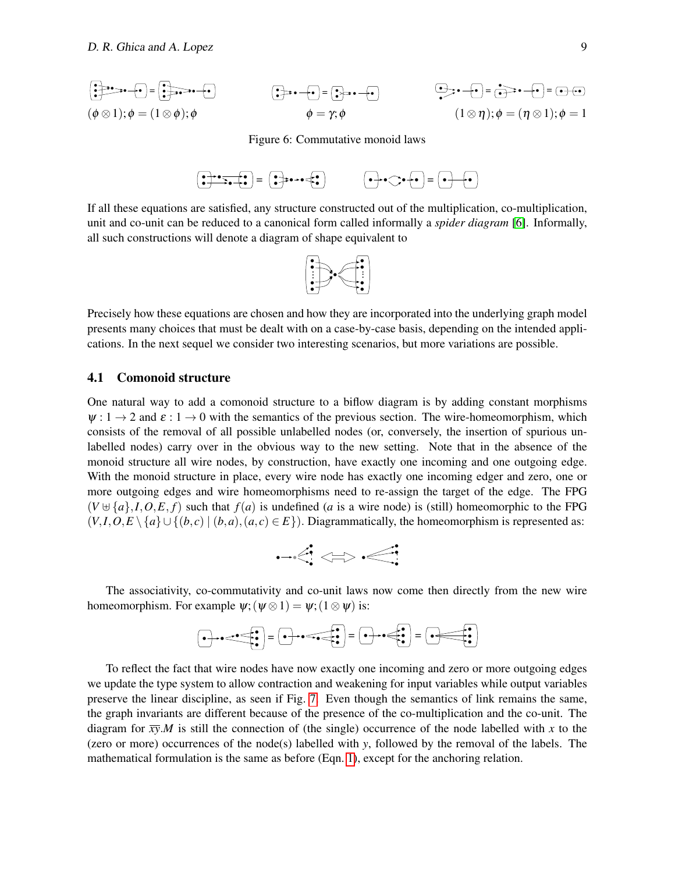$$
\begin{aligned}\n\begin{aligned}\n\begin{pmatrix}\n\frac{1}{2} & \frac{1}{2} \cos \theta + \mathbf{e} \end{pmatrix} &= \begin{pmatrix}\n\frac{1}{2} \cos \theta + \mathbf{e} \end{pmatrix} \\
(\phi \otimes 1); \phi &= (1 \otimes \phi); \phi\n\end{aligned}\n\qquad\n\begin{aligned}\n\begin{aligned}\n\begin{pmatrix}\n\frac{1}{2} \cos \theta + \mathbf{e} \end{pmatrix} &= \begin{pmatrix}\n\frac{1}{2} \cos \theta + \mathbf{e} \end{pmatrix} \\
\phi &= \gamma; \phi\n\end{aligned}\n\qquad\n\begin{aligned}\n(1 \otimes \eta); \phi &= (\eta \otimes 1); \phi = 1\n\end{aligned}\n\end{aligned}
$$

<span id="page-9-0"></span>Figure 6: Commutative monoid laws



If all these equations are satisfied, any structure constructed out of the multiplication, co-multiplication, unit and co-unit can be reduced to a canonical form called informally a *spider diagram* [\[6\]](#page-13-10). Informally, all such constructions will denote a diagram of shape equivalent to



Precisely how these equations are chosen and how they are incorporated into the underlying graph model presents many choices that must be dealt with on a case-by-case basis, depending on the intended applications. In the next sequel we consider two interesting scenarios, but more variations are possible.

#### 4.1 Comonoid structure

One natural way to add a comonoid structure to a biflow diagram is by adding constant morphisms  $\psi: 1 \to 2$  and  $\varepsilon: 1 \to 0$  with the semantics of the previous section. The wire-homeomorphism, which consists of the removal of all possible unlabelled nodes (or, conversely, the insertion of spurious unlabelled nodes) carry over in the obvious way to the new setting. Note that in the absence of the monoid structure all wire nodes, by construction, have exactly one incoming and one outgoing edge. With the monoid structure in place, every wire node has exactly one incoming edger and zero, one or more outgoing edges and wire homeomorphisms need to re-assign the target of the edge. The FPG  $(V \oplus \{a\}, I, O, E, f)$  such that  $f(a)$  is undefined (*a* is a wire node) is (still) homeomorphic to the FPG  $(V, I, O, E \setminus \{a\} \cup \{(b, c) \mid (b, a), (a, c) \in E\})$ . Diagrammatically, the homeomorphism is represented as:

$$
\neg\triangleleft\Leftrightarrow\text{}
$$

The associativity, co-commutativity and co-unit laws now come then directly from the new wire homeomorphism. For example  $\psi$ ; ( $\psi \otimes 1$ ) =  $\psi$ ; ( $1 \otimes \psi$ ) is:

● ● ● ● ● ● <sup>=</sup> ● ● ● ● ● ● <sup>=</sup> ● ● ● ● ● <sup>=</sup> ● ● ● ●

To reflect the fact that wire nodes have now exactly one incoming and zero or more outgoing edges we update the type system to allow contraction and weakening for input variables while output variables preserve the linear discipline, as seen if Fig. [7.](#page-10-0) Even though the semantics of link remains the same, the graph invariants are different because of the presence of the co-multiplication and the co-unit. The diagram for  $\overline{xy}$ .*M* is still the connection of (the single) occurrence of the node labelled with *x* to the (zero or more) occurrences of the node(s) labelled with *y*, followed by the removal of the labels. The mathematical formulation is the same as before (Eqn. [1\)](#page-4-1), except for the anchoring relation.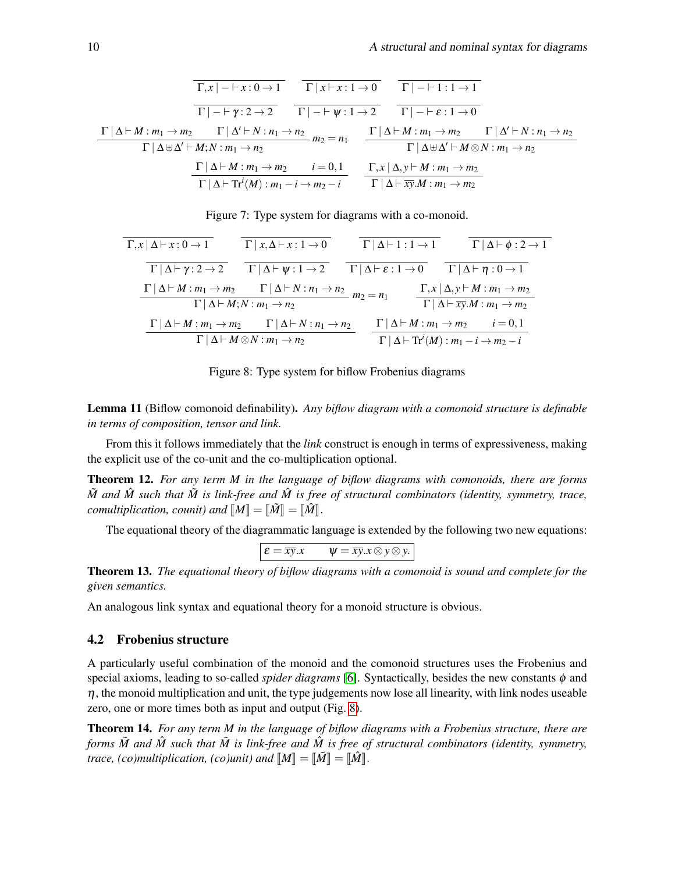$$
\frac{\Gamma|\Delta \vdash M:m_1 \rightarrow m_2 \qquad \Gamma|\Delta \vdash N:n_1 \rightarrow n_2}{\Gamma|\neg \vdash \gamma: 2 \rightarrow 2} \qquad \frac{\Gamma|\neg \vdash \gamma: 1 \rightarrow 0}{\Gamma|\neg \vdash \psi: 1 \rightarrow 2} \qquad \frac{\Gamma|\neg \vdash 1: 1 \rightarrow 1}{\Gamma|\neg \vdash \varepsilon: 1 \rightarrow 0}
$$
\n
$$
\frac{\Gamma|\Delta \vdash M:m_1 \rightarrow m_2 \qquad \Gamma|\Delta' \vdash N:n_1 \rightarrow n_2}{\Gamma|\Delta \uplus \Delta' \vdash M; N:m_1 \rightarrow n_2} \qquad m_2 = n_1 \qquad \frac{\Gamma|\Delta \vdash M:m_1 \rightarrow m_2 \qquad \Gamma|\Delta' \vdash N:n_1 \rightarrow n_2}{\Gamma|\Delta \uplus \Delta' \vdash M \otimes N:m_1 \rightarrow n_2}
$$
\n
$$
\frac{\Gamma|\Delta \vdash M:m_1 \rightarrow m_2 \qquad i = 0, 1}{\Gamma|\Delta \vdash \text{Tr}^i(M): m_1 \rightarrow m_2 \rightarrow i} \qquad \frac{\Gamma, x \mid \Delta, y \vdash M:m_1 \rightarrow m_2}{\Gamma|\Delta \vdash \overline{xy}.M:m_1 \rightarrow m_2}
$$

<span id="page-10-0"></span>Figure 7: Type system for diagrams with a co-monoid.

| $\Gamma, x \mid \Delta \vdash x : 0 \to 1$          | $\Gamma   x, \Delta \vdash x : 1 \to 0$                                                                                                                                           | $\Gamma   \Delta \vdash 1 : 1 \rightarrow 1$   |                                                                                | $\Gamma   \Delta \vdash \phi : 2 \rightarrow 1$                                                                             |
|-----------------------------------------------------|-----------------------------------------------------------------------------------------------------------------------------------------------------------------------------------|------------------------------------------------|--------------------------------------------------------------------------------|-----------------------------------------------------------------------------------------------------------------------------|
| $\Gamma   \Delta \vdash \gamma : 2 \rightarrow 2$   | $\Gamma   \Delta \vdash \psi : 1 \rightarrow 2$                                                                                                                                   | $\Gamma   \Delta \vdash \varepsilon : 1 \to 0$ |                                                                                | $\Gamma   \Delta \vdash \eta : 0 \rightarrow 1$                                                                             |
|                                                     | $\Gamma   \Delta \vdash M : m_1 \rightarrow m_2 \qquad \Gamma   \Delta \vdash N : n_1 \rightarrow n_2 \qquad m_2 = n_1$<br>$\Gamma \mid \Delta \vdash M; N : m_1 \rightarrow n_2$ |                                                |                                                                                | $\Gamma, x \mid \Delta, y \vdash M : m_1 \rightarrow m_2$<br>$\Gamma   \Delta \vdash \overline{xy}.M : m_1 \rightarrow m_2$ |
| $\Gamma \mid \Delta \vdash M : m_1 \rightarrow m_2$ | $\Gamma \mid \Delta \vdash N : n_1 \rightarrow n_2$                                                                                                                               |                                                | $\Gamma \mid \Delta \vdash M : m_1 \rightarrow m_2$                            | $i = 0, 1$                                                                                                                  |
|                                                     | $\Gamma \mid \Delta \vdash M \otimes N : m_1 \rightarrow n_2$                                                                                                                     |                                                | $\Gamma   \Delta \vdash$ Tr <sup>i</sup> $(M)$ : $m_1 - i \rightarrow m_2 - i$ |                                                                                                                             |

<span id="page-10-1"></span>Figure 8: Type system for biflow Frobenius diagrams

Lemma 11 (Biflow comonoid definability). *Any biflow diagram with a comonoid structure is definable in terms of composition, tensor and link.*

From this it follows immediately that the *link* construct is enough in terms of expressiveness, making the explicit use of the co-unit and the co-multiplication optional.

Theorem 12. *For any term M in the language of biflow diagrams with comonoids, there are forms*  $\tilde{M}$  and  $\hat{M}$  *such that*  $\tilde{M}$  *is link-free and*  $\hat{M}$  *is free of structural combinators (identity, symmetry, trace, comultiplication, counit) and*  $M = \lbrack \tilde{M} \rbrack = \lbrack \tilde{M} \rbrack$ .

The equational theory of the diagrammatic language is extended by the following two new equations:

$$
\varepsilon = \overline{xy}.x \qquad \psi = \overline{xy}.x \otimes y \otimes y.
$$

Theorem 13. *The equational theory of biflow diagrams with a comonoid is sound and complete for the given semantics.*

An analogous link syntax and equational theory for a monoid structure is obvious.

#### 4.2 Frobenius structure

A particularly useful combination of the monoid and the comonoid structures uses the Frobenius and special axioms, leading to so-called *spider diagrams* [\[6\]](#page-13-10). Syntactically, besides the new constants  $\phi$  and  $\eta$ , the monoid multiplication and unit, the type judgements now lose all linearity, with link nodes useable zero, one or more times both as input and output (Fig. [8\)](#page-10-1).

Theorem 14. *For any term M in the language of biflow diagrams with a Frobenius structure, there are forms*  $\tilde{M}$  *and*  $\tilde{M}$  *such that*  $\tilde{M}$  *is link-free and*  $\tilde{M}$  *is free of structural combinators (identity, symmetry, trace, (co)multiplication, (co)unit) and*  $M = \tilde{M} = \tilde{M}$ .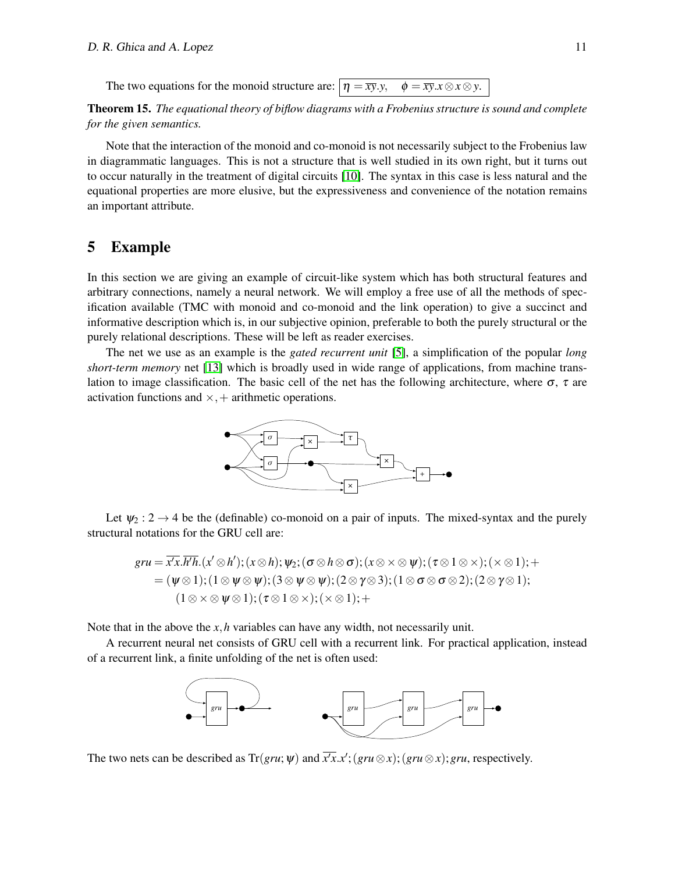The two equations for the monoid structure are:  $|\eta = \overline{xy}.y$ ,  $\phi = \overline{xy}.x \otimes x \otimes y$ .

Theorem 15. *The equational theory of biflow diagrams with a Frobenius structure is sound and complete for the given semantics.*

Note that the interaction of the monoid and co-monoid is not necessarily subject to the Frobenius law in diagrammatic languages. This is not a structure that is well studied in its own right, but it turns out to occur naturally in the treatment of digital circuits [\[10\]](#page-13-11). The syntax in this case is less natural and the equational properties are more elusive, but the expressiveness and convenience of the notation remains an important attribute.

#### 5 Example

In this section we are giving an example of circuit-like system which has both structural features and arbitrary connections, namely a neural network. We will employ a free use of all the methods of specification available (TMC with monoid and co-monoid and the link operation) to give a succinct and informative description which is, in our subjective opinion, preferable to both the purely structural or the purely relational descriptions. These will be left as reader exercises.

The net we use as an example is the *gated recurrent unit* [\[5\]](#page-13-12), a simplification of the popular *long short-term memory* net [\[13\]](#page-13-13) which is broadly used in wide range of applications, from machine translation to image classification. The basic cell of the net has the following architecture, where  $\sigma$ ,  $\tau$  are activation functions and  $\times$ , + arithmetic operations.



Let  $\psi_2$  :  $2 \rightarrow 4$  be the (definable) co-monoid on a pair of inputs. The mixed-syntax and the purely structural notations for the GRU cell are:

$$
gru = \overline{x'x}.\overline{h'h}.(x' \otimes h'); (x \otimes h); \psi_2; (\sigma \otimes h \otimes \sigma); (x \otimes \times \otimes \psi); (\tau \otimes 1 \otimes \times); (\times \otimes 1); +
$$
  
= (\psi \otimes 1); (1 \otimes \psi \otimes \psi); (3 \otimes \psi \otimes \psi); (2 \otimes \gamma \otimes 3); (1 \otimes \sigma \otimes \sigma \otimes 2); (2 \otimes \gamma \otimes 1);  
(1 \otimes \times \otimes \psi \otimes 1); (\tau \otimes 1 \otimes \times); (\times \otimes 1); +

Note that in the above the *x*,*h* variables can have any width, not necessarily unit.

A recurrent neural net consists of GRU cell with a recurrent link. For practical application, instead of a recurrent link, a finite unfolding of the net is often used:



The two nets can be described as  $Tr(gru; \psi)$  and  $\overline{x'x}.x';(gru \otimes x);(gru \otimes x);gru$ , respectively.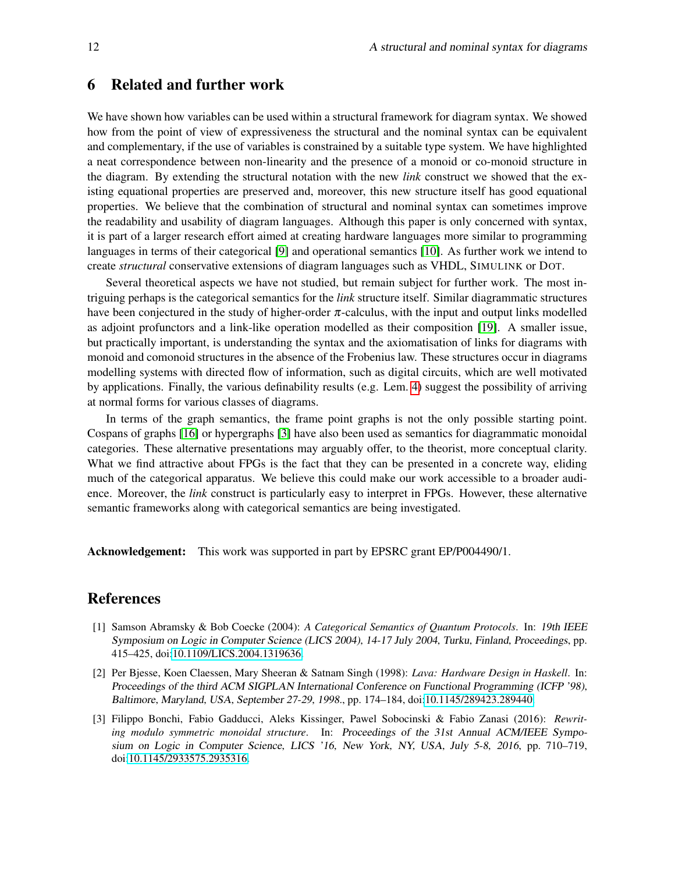#### 6 Related and further work

We have shown how variables can be used within a structural framework for diagram syntax. We showed how from the point of view of expressiveness the structural and the nominal syntax can be equivalent and complementary, if the use of variables is constrained by a suitable type system. We have highlighted a neat correspondence between non-linearity and the presence of a monoid or co-monoid structure in the diagram. By extending the structural notation with the new *link* construct we showed that the existing equational properties are preserved and, moreover, this new structure itself has good equational properties. We believe that the combination of structural and nominal syntax can sometimes improve the readability and usability of diagram languages. Although this paper is only concerned with syntax, it is part of a larger research effort aimed at creating hardware languages more similar to programming languages in terms of their categorical [\[9\]](#page-13-3) and operational semantics [\[10\]](#page-13-11). As further work we intend to create *structural* conservative extensions of diagram languages such as VHDL, SIMULINK or DOT.

Several theoretical aspects we have not studied, but remain subject for further work. The most intriguing perhaps is the categorical semantics for the *link* structure itself. Similar diagrammatic structures have been conjectured in the study of higher-order  $\pi$ -calculus, with the input and output links modelled as adjoint profunctors and a link-like operation modelled as their composition [\[19\]](#page-13-14). A smaller issue, but practically important, is understanding the syntax and the axiomatisation of links for diagrams with monoid and comonoid structures in the absence of the Frobenius law. These structures occur in diagrams modelling systems with directed flow of information, such as digital circuits, which are well motivated by applications. Finally, the various definability results (e.g. Lem. [4\)](#page-5-1) suggest the possibility of arriving at normal forms for various classes of diagrams.

In terms of the graph semantics, the frame point graphs is not the only possible starting point. Cospans of graphs [\[16\]](#page-13-15) or hypergraphs [\[3\]](#page-12-2) have also been used as semantics for diagrammatic monoidal categories. These alternative presentations may arguably offer, to the theorist, more conceptual clarity. What we find attractive about FPGs is the fact that they can be presented in a concrete way, eliding much of the categorical apparatus. We believe this could make our work accessible to a broader audience. Moreover, the *link* construct is particularly easy to interpret in FPGs. However, these alternative semantic frameworks along with categorical semantics are being investigated.

Acknowledgement: This work was supported in part by EPSRC grant EP/P004490/1.

### References

- <span id="page-12-0"></span>[1] Samson Abramsky & Bob Coecke (2004): *A Categorical Semantics of Quantum Protocols*. In: 19th IEEE Symposium on Logic in Computer Science (LICS 2004), 14-17 July 2004, Turku, Finland, Proceedings, pp. 415–425, doi[:10.1109/LICS.2004.1319636.](http://dx.doi.org/10.1109/LICS.2004.1319636)
- <span id="page-12-1"></span>[2] Per Bjesse, Koen Claessen, Mary Sheeran & Satnam Singh (1998): *Lava: Hardware Design in Haskell*. In: Proceedings of the third ACM SIGPLAN International Conference on Functional Programming (ICFP '98), Baltimore, Maryland, USA, September 27-29, 1998., pp. 174–184, doi[:10.1145/289423.289440.](http://dx.doi.org/10.1145/289423.289440)
- <span id="page-12-2"></span>[3] Filippo Bonchi, Fabio Gadducci, Aleks Kissinger, Pawel Sobocinski & Fabio Zanasi (2016): *Rewriting modulo symmetric monoidal structure*. In: Proceedings of the 31st Annual ACM/IEEE Symposium on Logic in Computer Science, LICS '16, New York, NY, USA, July 5-8, 2016, pp. 710–719, doi[:10.1145/2933575.2935316.](http://dx.doi.org/10.1145/2933575.2935316)